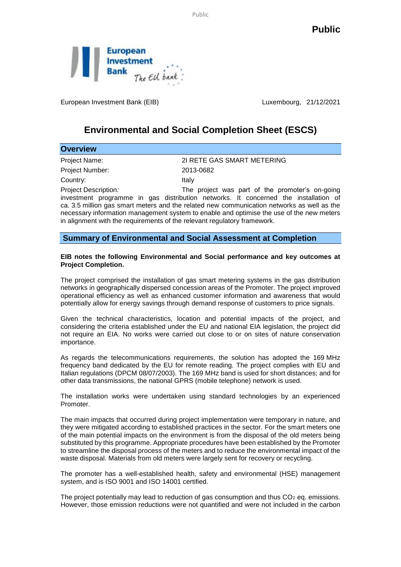Public

**Public**



European Investment Bank (EIB) Luxembourg, 21/12/2021

## **Environmental and Social Completion Sheet (ESCS)**

| <b>Overview</b>      |                                                                                            |
|----------------------|--------------------------------------------------------------------------------------------|
| Project Name:        | 21 RETE GAS SMART METERING                                                                 |
| Project Number:      | 2013-0682                                                                                  |
| Country:             | Italy                                                                                      |
| Project Description: | The project was part of the promoter's on-going                                            |
|                      | investment programme in gas distribution networks. It concerned the installation of        |
|                      | ca. 3.5 million gas smart meters and the related new communication networks as well as the |
|                      | necessary information management system to enable and optimise the use of the new meters   |

**Summary of Environmental and Social Assessment at Completion**

in alignment with the requirements of the relevant regulatory framework.

## **EIB notes the following Environmental and Social performance and key outcomes at Project Completion.**

The project comprised the installation of gas smart metering systems in the gas distribution networks in geographically dispersed concession areas of the Promoter. The project improved operational efficiency as well as enhanced customer information and awareness that would potentially allow for energy savings through demand response of customers to price signals.

Given the technical characteristics, location and potential impacts of the project, and considering the criteria established under the EU and national EIA legislation, the project did not require an EIA. No works were carried out close to or on sites of nature conservation importance.

As regards the telecommunications requirements, the solution has adopted the 169 MHz frequency band dedicated by the EU for remote reading. The project complies with EU and Italian regulations (DPCM 08/07/2003). The 169 MHz band is used for short distances; and for other data transmissions, the national GPRS (mobile telephone) network is used.

The installation works were undertaken using standard technologies by an experienced Promoter.

The main impacts that occurred during project implementation were temporary in nature, and they were mitigated according to established practices in the sector. For the smart meters one of the main potential impacts on the environment is from the disposal of the old meters being substituted by this programme. Appropriate procedures have been established by the Promoter to streamline the disposal process of the meters and to reduce the environmental impact of the waste disposal. Materials from old meters were largely sent for recovery or recycling.

The promoter has a well-established health, safety and environmental (HSE) management system, and is ISO 9001 and ISO 14001 certified.

The project potentially may lead to reduction of gas consumption and thus  $CO<sub>2</sub>$  eq. emissions. However, those emission reductions were not quantified and were not included in the carbon